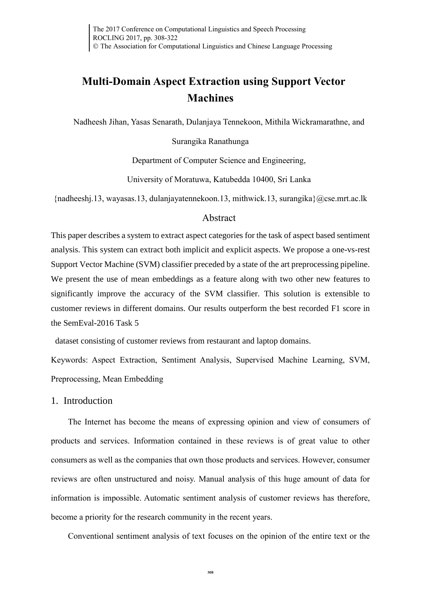# **Multi-Domain Aspect Extraction using Support Vector Machines**

Nadheesh Jihan, Yasas Senarath, Dulanjaya Tennekoon, Mithila Wickramarathne, and

Surangika Ranathunga

Department of Computer Science and Engineering,

University of Moratuwa, Katubedda 10400, Sri Lanka

{nadheeshj.13, wayasas.13, dulanjayatennekoon.13, mithwick.13, surangika}@cse.mrt.ac.lk

### Abstract

This paper describes a system to extract aspect categories for the task of aspect based sentiment analysis. This system can extract both implicit and explicit aspects. We propose a one-vs-rest Support Vector Machine (SVM) classifier preceded by a state of the art preprocessing pipeline. We present the use of mean embeddings as a feature along with two other new features to significantly improve the accuracy of the SVM classifier. This solution is extensible to customer reviews in different domains. Our results outperform the best recorded F1 score in the SemEval-2016 Task 5

dataset consisting of customer reviews from restaurant and laptop domains.

Keywords: Aspect Extraction, Sentiment Analysis, Supervised Machine Learning, SVM, Preprocessing, Mean Embedding

## 1. Introduction

The Internet has become the means of expressing opinion and view of consumers of products and services. Information contained in these reviews is of great value to other consumers as well as the companies that own those products and services. However, consumer reviews are often unstructured and noisy. Manual analysis of this huge amount of data for information is impossible. Automatic sentiment analysis of customer reviews has therefore, become a priority for the research community in the recent years.

Conventional sentiment analysis of text focuses on the opinion of the entire text or the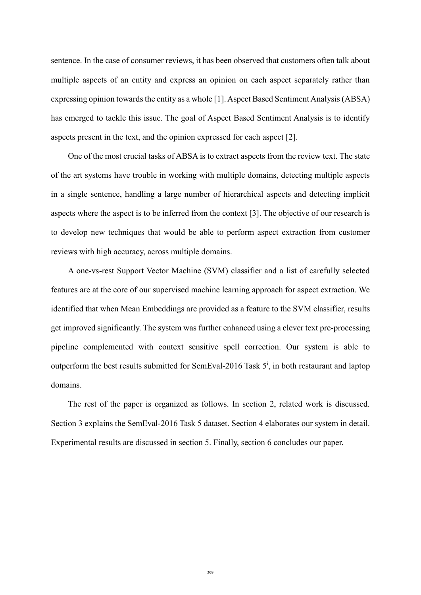sentence. In the case of consumer reviews, it has been observed that customers often talk about multiple aspects of an entity and express an opinion on each aspect separately rather than expressing opinion towards the entity as a whole [1]. Aspect Based Sentiment Analysis (ABSA) has emerged to tackle this issue. The goal of Aspect Based Sentiment Analysis is to identify aspects present in the text, and the opinion expressed for each aspect [2].

One of the most crucial tasks of ABSA is to extract aspects from the review text. The state of the art systems have trouble in working with multiple domains, detecting multiple aspects in a single sentence, handling a large number of hierarchical aspects and detecting implicit aspects where the aspect is to be inferred from the context [3]. The objective of our research is to develop new techniques that would be able to perform aspect extraction from customer reviews with high accuracy, across multiple domains.

A one-vs-rest Support Vector Machine (SVM) classifier and a list of carefully selected features are at the core of our supervised machine learning approach for aspect extraction. We identified that when Mean Embeddings are provided as a feature to the SVM classifier, results get improved significantly. The system was further enhanced using a clever text pre-processing pipeline complemented with context sensitive spell correction. Our system is able to outperform the best results submitted for SemEval-2016 Task  $5^i$ , in both restaurant and laptop domains.

The rest of the paper is organized as follows. In section 2, related work is discussed. Section 3 explains the SemEval-2016 Task 5 dataset. Section 4 elaborates our system in detail. Experimental results are discussed in section 5. Finally, section 6 concludes our paper.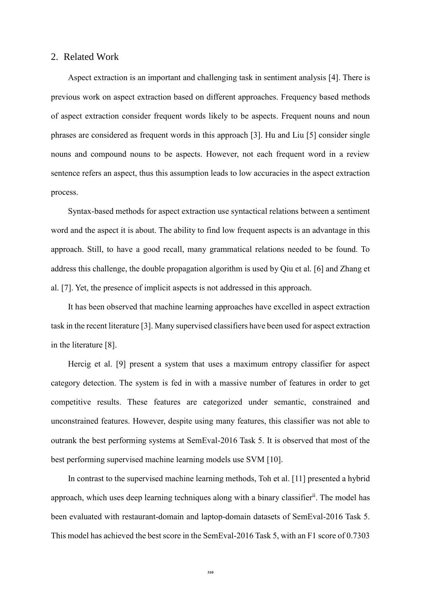#### 2. Related Work

Aspect extraction is an important and challenging task in sentiment analysis [4]. There is previous work on aspect extraction based on different approaches. Frequency based methods of aspect extraction consider frequent words likely to be aspects. Frequent nouns and noun phrases are considered as frequent words in this approach [3]. Hu and Liu [5] consider single nouns and compound nouns to be aspects. However, not each frequent word in a review sentence refers an aspect, thus this assumption leads to low accuracies in the aspect extraction process.

Syntax-based methods for aspect extraction use syntactical relations between a sentiment word and the aspect it is about. The ability to find low frequent aspects is an advantage in this approach. Still, to have a good recall, many grammatical relations needed to be found. To address this challenge, the double propagation algorithm is used by Qiu et al. [6] and Zhang et al. [7]. Yet, the presence of implicit aspects is not addressed in this approach.

It has been observed that machine learning approaches have excelled in aspect extraction task in the recent literature [3]. Many supervised classifiers have been used for aspect extraction in the literature [8].

Hercig et al. [9] present a system that uses a maximum entropy classifier for aspect category detection. The system is fed in with a massive number of features in order to get competitive results. These features are categorized under semantic, constrained and unconstrained features. However, despite using many features, this classifier was not able to outrank the best performing systems at SemEval-2016 Task 5. It is observed that most of the best performing supervised machine learning models use SVM [10].

In contrast to the supervised machine learning methods, Toh et al. [11] presented a hybrid approach, which uses deep learning techniques along with a binary classifier<sup>ii</sup>. The model has been evaluated with restaurant-domain and laptop-domain datasets of SemEval-2016 Task 5. This model has achieved the best score in the SemEval-2016 Task 5, with an F1 score of 0.7303

**310**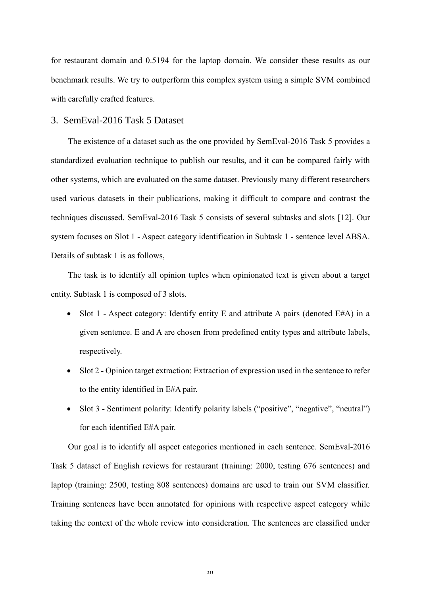for restaurant domain and 0.5194 for the laptop domain. We consider these results as our benchmark results. We try to outperform this complex system using a simple SVM combined with carefully crafted features.

#### 3. SemEval-2016 Task 5 Dataset

The existence of a dataset such as the one provided by SemEval-2016 Task 5 provides a standardized evaluation technique to publish our results, and it can be compared fairly with other systems, which are evaluated on the same dataset. Previously many different researchers used various datasets in their publications, making it difficult to compare and contrast the techniques discussed. SemEval-2016 Task 5 consists of several subtasks and slots [12]. Our system focuses on Slot 1 - Aspect category identification in Subtask 1 - sentence level ABSA. Details of subtask 1 is as follows,

The task is to identify all opinion tuples when opinionated text is given about a target entity. Subtask 1 is composed of 3 slots.

- Slot 1 Aspect category: Identify entity E and attribute A pairs (denoted  $E#A$ ) in a given sentence. E and A are chosen from predefined entity types and attribute labels, respectively.
- Slot 2 Opinion target extraction: Extraction of expression used in the sentence to refer to the entity identified in E#A pair.
- Slot 3 Sentiment polarity: Identify polarity labels ("positive", "negative", "neutral") for each identified E#A pair.

Our goal is to identify all aspect categories mentioned in each sentence. SemEval-2016 Task 5 dataset of English reviews for restaurant (training: 2000, testing 676 sentences) and laptop (training: 2500, testing 808 sentences) domains are used to train our SVM classifier. Training sentences have been annotated for opinions with respective aspect category while taking the context of the whole review into consideration. The sentences are classified under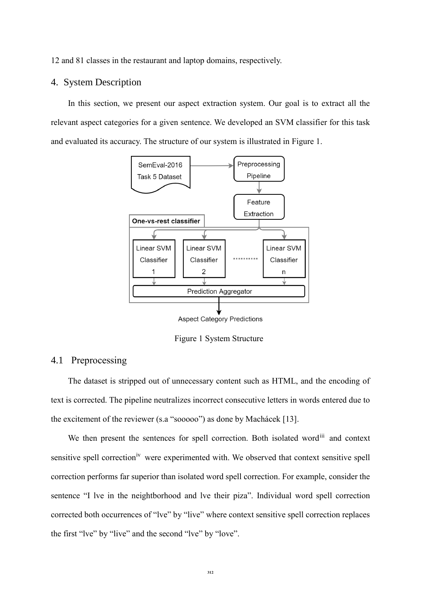12 and 81 classes in the restaurant and laptop domains, respectively.

## 4. System Description

In this section, we present our aspect extraction system. Our goal is to extract all the relevant aspect categories for a given sentence. We developed an SVM classifier for this task and evaluated its accuracy. The structure of our system is illustrated in [Figure 1.](#page-4-0)



**Aspect Category Predictions** 

Figure 1 System Structure

# <span id="page-4-0"></span>4.1 Preprocessing

The dataset is stripped out of unnecessary content such as HTML, and the encoding of text is corrected. The pipeline neutralizes incorrect consecutive letters in words entered due to the excitement of the reviewer (s.a "sooooo") as done by Machácek [13].

We then present the sentences for spell correction. Both isolated wordin and context sensitive spell correction<sup>iv</sup> were experimented with. We observed that context sensitive spell correction performs far superior than isolated word spell correction. For example, consider the sentence "I lve in the neightborhood and lve their piza". Individual word spell correction corrected both occurrences of "lve" by "live" where context sensitive spell correction replaces the first "lve" by "live" and the second "lve" by "love".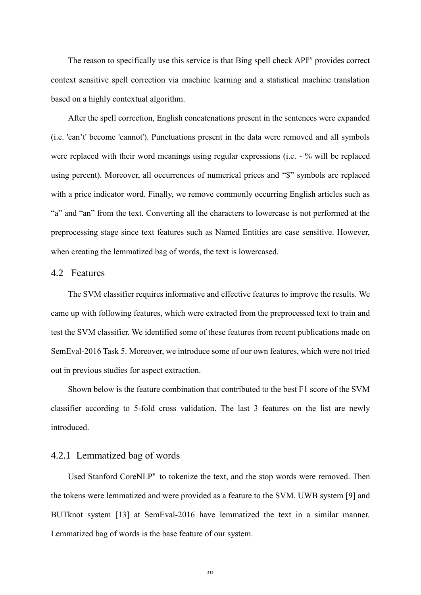The reason to specifically use this service is that Bing spell check  $API<sup>iv</sup>$  provides correct context sensitive spell correction via machine learning and a statistical machine translation based on a highly contextual algorithm.

After the spell correction, English concatenations present in the sentences were expanded (i.e. 'can't' become 'cannot'). Punctuations present in the data were removed and all symbols were replaced with their word meanings using regular expressions (i.e. - % will be replaced using percent). Moreover, all occurrences of numerical prices and "\$" symbols are replaced with a price indicator word. Finally, we remove commonly occurring English articles such as "a" and "an" from the text. Converting all the characters to lowercase is not performed at the preprocessing stage since text features such as Named Entities are case sensitive. However, when creating the lemmatized bag of words, the text is lowercased.

# 4.2 Features

The SVM classifier requires informative and effective features to improve the results. We came up with following features, which were extracted from the preprocessed text to train and test the SVM classifier. We identified some of these features from recent publications made on SemEval-2016 Task 5. Moreover, we introduce some of our own features, which were not tried out in previous studies for aspect extraction.

Shown below is the feature combination that contributed to the best F1 score of the SVM classifier according to 5-fold cross validation. The last 3 features on the list are newly introduced.

#### 4.2.1 Lemmatized bag of words

Used Stanford CoreNLP $v$  to tokenize the text, and the stop words were removed. Then the tokens were lemmatized and were provided as a feature to the SVM. UWB system [9] and BUTknot system [13] at SemEval-2016 have lemmatized the text in a similar manner. Lemmatized bag of words is the base feature of our system.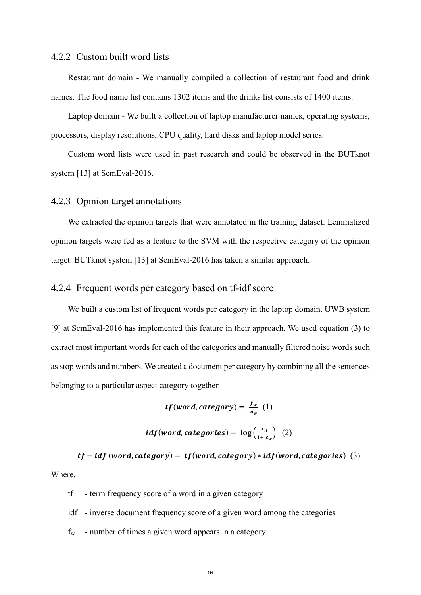#### 4.2.2 Custom built word lists

Restaurant domain - We manually compiled a collection of restaurant food and drink names. The food name list contains 1302 items and the drinks list consists of 1400 items.

Laptop domain - We built a collection of laptop manufacturer names, operating systems, processors, display resolutions, CPU quality, hard disks and laptop model series.

Custom word lists were used in past research and could be observed in the BUTknot system [13] at SemEval-2016.

## 4.2.3 Opinion target annotations

We extracted the opinion targets that were annotated in the training dataset. Lemmatized opinion targets were fed as a feature to the SVM with the respective category of the opinion target. BUTknot system [13] at SemEval-2016 has taken a similar approach.

#### 4.2.4 Frequent words per category based on tf-idf score

We built a custom list of frequent words per category in the laptop domain. UWB system [9] at SemEval-2016 has implemented this feature in their approach. We used equation (3) to extract most important words for each of the categories and manually filtered noise words such as stop words and numbers. We created a document per category by combining all the sentences belonging to a particular aspect category together.

$$
tf(word, category) = \frac{f_w}{n_w} (1)
$$
  

$$
idf(word, categories) = \log(\frac{c_n}{1+c_w}) (2)
$$

 $tf - idf$  (word, category) =  $tf$  (word, category) \* idf (word, categories) (3) Where,

tf - term frequency score of a word in a given category

idf - inverse document frequency score of a given word among the categories

 $f_w$  - number of times a given word appears in a category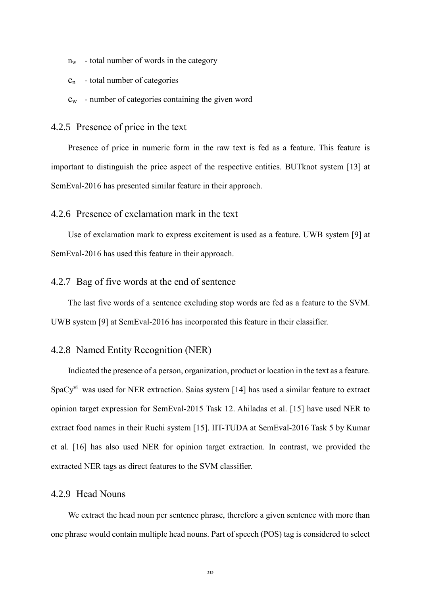- n<sup>w</sup> total number of words in the category
- $c_n$  total number of categories
- $c_w$  number of categories containing the given word

#### 4.2.5 Presence of price in the text

Presence of price in numeric form in the raw text is fed as a feature. This feature is important to distinguish the price aspect of the respective entities. BUTknot system [13] at SemEval-2016 has presented similar feature in their approach.

# 4.2.6 Presence of exclamation mark in the text

Use of exclamation mark to express excitement is used as a feature. UWB system [9] at SemEval-2016 has used this feature in their approach.

#### 4.2.7 Bag of five words at the end of sentence

The last five words of a sentence excluding stop words are fed as a feature to the SVM. UWB system [9] at SemEval-2016 has incorporated this feature in their classifier.

## 4.2.8 Named Entity Recognition (NER)

Indicated the presence of a person, organization, product or location in the text as a feature. SpaCy<sup>vi</sup> was used for NER extraction. Saias system [14] has used a similar feature to extract opinion target expression for SemEval-2015 Task 12. Ahiladas et al. [15] have used NER to extract food names in their Ruchi system [15]. IIT-TUDA at SemEval-2016 Task 5 by Kumar et al. [16] has also used NER for opinion target extraction. In contrast, we provided the extracted NER tags as direct features to the SVM classifier.

# 4.2.9 Head Nouns

We extract the head noun per sentence phrase, therefore a given sentence with more than one phrase would contain multiple head nouns. Part of speech (POS) tag is considered to select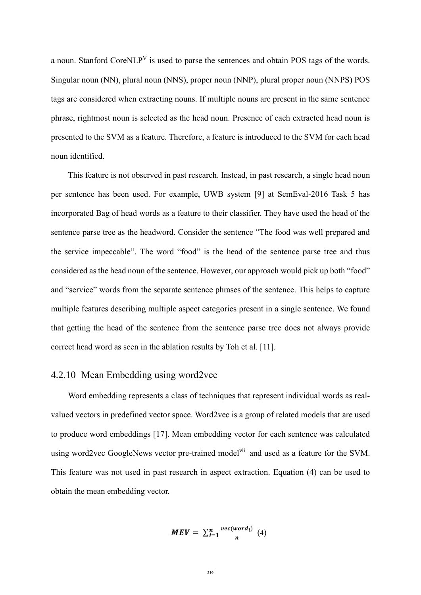a noun. Stanford CoreNLP<sup>V</sup> is used to parse the sentences and obtain POS tags of the words. Singular noun (NN), plural noun (NNS), proper noun (NNP), plural proper noun (NNPS) POS tags are considered when extracting nouns. If multiple nouns are present in the same sentence phrase, rightmost noun is selected as the head noun. Presence of each extracted head noun is presented to the SVM as a feature. Therefore, a feature is introduced to the SVM for each head noun identified.

This feature is not observed in past research. Instead, in past research, a single head noun per sentence has been used. For example, UWB system [9] at SemEval-2016 Task 5 has incorporated Bag of head words as a feature to their classifier. They have used the head of the sentence parse tree as the headword. Consider the sentence "The food was well prepared and the service impeccable". The word "food" is the head of the sentence parse tree and thus considered as the head noun of the sentence. However, our approach would pick up both "food" and "service" words from the separate sentence phrases of the sentence. This helps to capture multiple features describing multiple aspect categories present in a single sentence. We found that getting the head of the sentence from the sentence parse tree does not always provide correct head word as seen in the ablation results by Toh et al. [11].

## 4.2.10 Mean Embedding using word2vec

Word embedding represents a class of techniques that represent individual words as realvalued vectors in predefined vector space. Word2vec is a group of related models that are used to produce word embeddings [17]. Mean embedding vector for each sentence was calculated using word2vec GoogleNews vector pre-trained model<sup>vii</sup> and used as a feature for the SVM. This feature was not used in past research in aspect extraction. Equation (4) can be used to obtain the mean embedding vector.

$$
MEV = \sum_{i=1}^{n} \frac{vec(word_i)}{n} \tag{4}
$$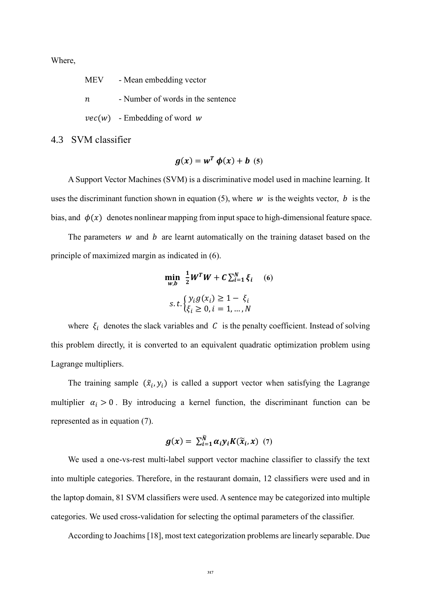Where,

MEV - Mean embedding vector

- $n$  Number of words in the sentence
- $vec(w)$  Embedding of word w

4.3 SVM classifier

$$
g(x) = w^T \phi(x) + b \quad (5)
$$

A Support Vector Machines (SVM) is a discriminative model used in machine learning. It uses the discriminant function shown in equation (5), where  $w$  is the weights vector,  $b$  is the bias, and  $\phi(x)$  denotes nonlinear mapping from input space to high-dimensional feature space.

The parameters  $w$  and  $b$  are learnt automatically on the training dataset based on the principle of maximized margin as indicated in (6).

$$
\min_{w,b} \frac{1}{2} W^T W + C \sum_{i=1}^N \xi_i \quad (6)
$$
  
s. t. 
$$
\begin{cases} y_i g(x_i) \ge 1 - \xi_i \\ \xi_i \ge 0, i = 1, ..., N \end{cases}
$$

where  $\xi_i$  denotes the slack variables and C is the penalty coefficient. Instead of solving this problem directly, it is converted to an equivalent quadratic optimization problem using Lagrange multipliers.

The training sample  $(\tilde{x}_i, y_i)$  is called a support vector when satisfying the Lagrange multiplier  $\alpha_i > 0$ . By introducing a kernel function, the discriminant function can be represented as in equation (7).

$$
g(x) = \sum_{i=1}^{\tilde{N}} \alpha_i y_i K(\tilde{x}_i, x) \quad (7)
$$

We used a one-vs-rest multi-label support vector machine classifier to classify the text into multiple categories. Therefore, in the restaurant domain, 12 classifiers were used and in the laptop domain, 81 SVM classifiers were used. A sentence may be categorized into multiple categories. We used cross-validation for selecting the optimal parameters of the classifier.

According to Joachims [18], most text categorization problems are linearly separable. Due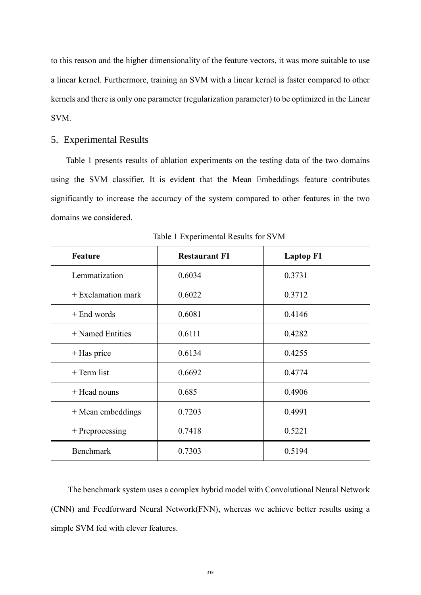to this reason and the higher dimensionality of the feature vectors, it was more suitable to use a linear kernel. Furthermore, training an SVM with a linear kernel is faster compared to other kernels and there is only one parameter (regularization parameter) to be optimized in the Linear SVM.

### 5. Experimental Results

[Table 1](#page-10-0) presents results of ablation experiments on the testing data of the two domains using the SVM classifier. It is evident that the Mean Embeddings feature contributes significantly to increase the accuracy of the system compared to other features in the two domains we considered.

<span id="page-10-0"></span>

| <b>Feature</b>       | <b>Restaurant F1</b> | <b>Laptop F1</b> |
|----------------------|----------------------|------------------|
| Lemmatization        | 0.6034               | 0.3731           |
| $+$ Exclamation mark | 0.6022               | 0.3712           |
| $+$ End words        | 0.6081               | 0.4146           |
| $+$ Named Entities   | 0.6111               | 0.4282           |
| $+$ Has price        | 0.6134               | 0.4255           |
| $+$ Term list        | 0.6692               | 0.4774           |
| + Head nouns         | 0.685                | 0.4906           |
| + Mean embeddings    | 0.7203               | 0.4991           |
| $+$ Preprocessing    | 0.7418               | 0.5221           |
| <b>Benchmark</b>     | 0.7303               | 0.5194           |

Table 1 Experimental Results for SVM

The benchmark system uses a complex hybrid model with Convolutional Neural Network (CNN) and Feedforward Neural Network(FNN), whereas we achieve better results using a simple SVM fed with clever features.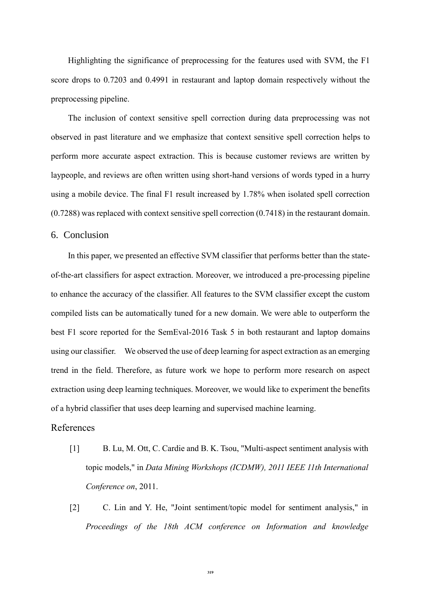Highlighting the significance of preprocessing for the features used with SVM, the F1 score drops to 0.7203 and 0.4991 in restaurant and laptop domain respectively without the preprocessing pipeline.

The inclusion of context sensitive spell correction during data preprocessing was not observed in past literature and we emphasize that context sensitive spell correction helps to perform more accurate aspect extraction. This is because customer reviews are written by laypeople, and reviews are often written using short-hand versions of words typed in a hurry using a mobile device. The final F1 result increased by 1.78% when isolated spell correction (0.7288) was replaced with context sensitive spell correction (0.7418) in the restaurant domain.

### 6. Conclusion

In this paper, we presented an effective SVM classifier that performs better than the stateof-the-art classifiers for aspect extraction. Moreover, we introduced a pre-processing pipeline to enhance the accuracy of the classifier. All features to the SVM classifier except the custom compiled lists can be automatically tuned for a new domain. We were able to outperform the best F1 score reported for the SemEval-2016 Task 5 in both restaurant and laptop domains using our classifier. We observed the use of deep learning for aspect extraction as an emerging trend in the field. Therefore, as future work we hope to perform more research on aspect extraction using deep learning techniques. Moreover, we would like to experiment the benefits of a hybrid classifier that uses deep learning and supervised machine learning.

#### References

- [1] B. Lu, M. Ott, C. Cardie and B. K. Tsou, "Multi-aspect sentiment analysis with topic models," in *Data Mining Workshops (ICDMW), 2011 IEEE 11th International Conference on*, 2011.
- [2] C. Lin and Y. He, "Joint sentiment/topic model for sentiment analysis," in *Proceedings of the 18th ACM conference on Information and knowledge*

**319**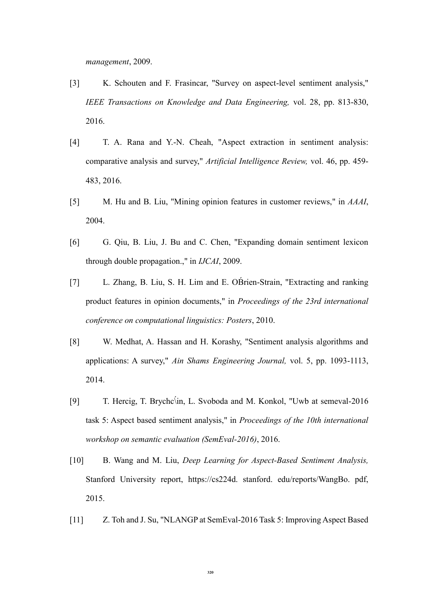*management*, 2009.

- [3] K. Schouten and F. Frasincar, "Survey on aspect-level sentiment analysis," *IEEE Transactions on Knowledge and Data Engineering,* vol. 28, pp. 813-830, 2016.
- [4] T. A. Rana and Y.-N. Cheah, "Aspect extraction in sentiment analysis: comparative analysis and survey," *Artificial Intelligence Review,* vol. 46, pp. 459- 483, 2016.
- [5] M. Hu and B. Liu, "Mining opinion features in customer reviews," in *AAAI*, 2004.
- [6] G. Qiu, B. Liu, J. Bu and C. Chen, "Expanding domain sentiment lexicon through double propagation.," in *IJCAI*, 2009.
- [7] L. Zhang, B. Liu, S. H. Lim and E. OB́rien-Strain, "Extracting and ranking product features in opinion documents," in *Proceedings of the 23rd international conference on computational linguistics: Posters*, 2010.
- [8] W. Medhat, A. Hassan and H. Korashy, "Sentiment analysis algorithms and applications: A survey," *Ain Shams Engineering Journal,* vol. 5, pp. 1093-1113, 2014.
- [9] T. Hercig, T. Brychc\́in, L. Svoboda and M. Konkol, "Uwb at semeval-2016 task 5: Aspect based sentiment analysis," in *Proceedings of the 10th international workshop on semantic evaluation (SemEval-2016)*, 2016.
- [10] B. Wang and M. Liu, *Deep Learning for Aspect-Based Sentiment Analysis,*  Stanford University report, https://cs224d. stanford. edu/reports/WangBo. pdf, 2015.
- [11] Z. Toh and J. Su, "NLANGP at SemEval-2016 Task 5: Improving Aspect Based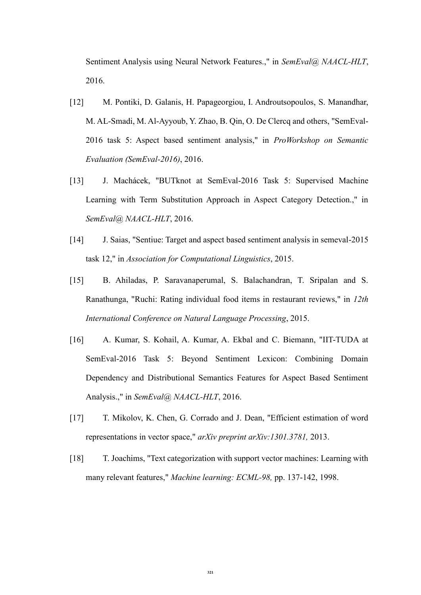Sentiment Analysis using Neural Network Features.," in *SemEval@ NAACL-HLT*, 2016.

- [12] M. Pontiki, D. Galanis, H. Papageorgiou, I. Androutsopoulos, S. Manandhar, M. AL-Smadi, M. Al-Ayyoub, Y. Zhao, B. Qin, O. De Clercq and others, "SemEval-2016 task 5: Aspect based sentiment analysis," in *ProWorkshop on Semantic Evaluation (SemEval-2016)*, 2016.
- [13] J. Machácek, "BUTknot at SemEval-2016 Task 5: Supervised Machine Learning with Term Substitution Approach in Aspect Category Detection.," in *SemEval@ NAACL-HLT*, 2016.
- [14] J. Saias, "Sentiue: Target and aspect based sentiment analysis in semeval-2015 task 12," in *Association for Computational Linguistics*, 2015.
- [15] B. Ahiladas, P. Saravanaperumal, S. Balachandran, T. Sripalan and S. Ranathunga, "Ruchi: Rating individual food items in restaurant reviews," in *12th International Conference on Natural Language Processing*, 2015.
- [16] A. Kumar, S. Kohail, A. Kumar, A. Ekbal and C. Biemann, "IIT-TUDA at SemEval-2016 Task 5: Beyond Sentiment Lexicon: Combining Domain Dependency and Distributional Semantics Features for Aspect Based Sentiment Analysis.," in *SemEval@ NAACL-HLT*, 2016.
- [17] T. Mikolov, K. Chen, G. Corrado and J. Dean, "Efficient estimation of word representations in vector space," *arXiv preprint arXiv:1301.3781,* 2013.
- [18] T. Joachims, "Text categorization with support vector machines: Learning with many relevant features," *Machine learning: ECML-98,* pp. 137-142, 1998.